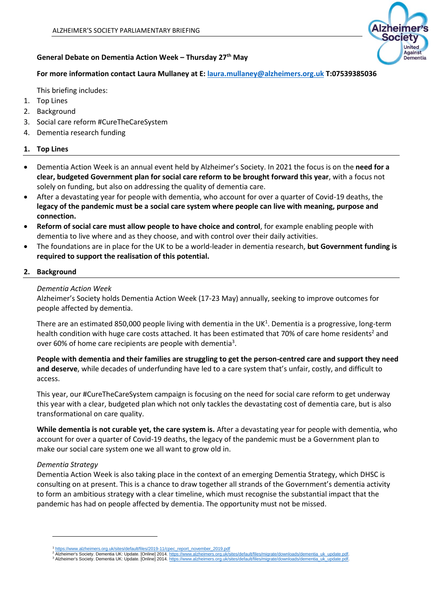

# **General Debate on Dementia Action Week – Thursday 27th May**

# **For more information contact Laura Mullaney at E: [laura.mullaney@alzheimers.org.uk](mailto:laura.mullaney@alzheimers.org.uk) T:07539385036**

This briefing includes:

- 1. Top Lines
- 2. Background
- 3. Social care reform #CureTheCareSystem
- 4. Dementia research funding

# **1. Top Lines**

- Dementia Action Week is an annual event held by Alzheimer's Society. In 2021 the focus is on the **need for a clear, budgeted Government plan for social care reform to be brought forward this year**, with a focus not solely on funding, but also on addressing the quality of dementia care.
- After a devastating year for people with dementia, who account for over a quarter of Covid-19 deaths, the **legacy of the pandemic must be a social care system where people can live with meaning, purpose and connection.**
- **Reform of social care must allow people to have choice and control**, for example enabling people with dementia to live where and as they choose, and with control over their daily activities.
- The foundations are in place for the UK to be a world-leader in dementia research, **but Government funding is required to support the realisation of this potential.**

# **2. Background**

# *Dementia Action Week*

Alzheimer's Society holds Dementia Action Week (17-23 May) annually, seeking to improve outcomes for people affected by dementia.

There are an estimated 850,000 people living with dementia in the UK<sup>1</sup>. Dementia is a progressive, long-term health condition with huge care costs attached. It has been estimated that 70% of care home residents<sup>2</sup> and over 60% of home care recipients are people with dementia<sup>3</sup>.

**People with dementia and their families are struggling to get the person-centred care and support they need and deserve**, while decades of underfunding have led to a care system that's unfair, costly, and difficult to access.

This year, our #CureTheCareSystem campaign is focusing on the need for social care reform to get underway this year with a clear, budgeted plan which not only tackles the devastating cost of dementia care, but is also transformational on care quality.

**While dementia is not curable yet, the care system is.** After a devastating year for people with dementia, who account for over a quarter of Covid-19 deaths, the legacy of the pandemic must be a Government plan to make our social care system one we all want to grow old in.

# *Dementia Strategy*

Dementia Action Week is also taking place in the context of an emerging Dementia Strategy, which DHSC is consulting on at present. This is a chance to draw together all strands of the Government's dementia activity to form an ambitious strategy with a clear timeline, which must recognise the substantial impact that the pandemic has had on people affected by dementia. The opportunity must not be missed.

<sup>&</sup>lt;sup>1</sup> [https://www.alzheimers.org.uk/sites/default/files/2019-11/cpec\\_report\\_november\\_2019.pdf](https://www.alzheimers.org.uk/sites/default/files/2019-11/cpec_report_november_2019.pdf)<br><sup>2</sup> Alzheimer's Society. Dementia UK: Update. [Online] 2014. https://www.alzheimers.org.uk/sites/default/files/migrate/downloads/d

<sup>&</sup>lt;sup>2</sup> Alzheimer's Society. Dementia UK: Update. [Online] 2014. https://www.alzheimers.org.uk/sites/default/files/migrate/downloads/dementia\_uk\_update.pdf<br><sup>3</sup> Alzheimer's Society. Dementia UK: Update. [Online] 2014. https://w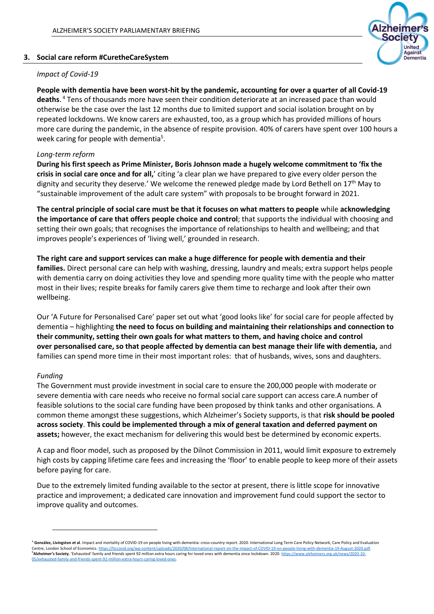### **3. Social care reform #CuretheCareSystem**

# *Impact of Covid-19*

**People with dementia have been worst-hit by the pandemic, accounting for over a quarter of all Covid-19 deaths**. <sup>4</sup> Tens of thousands more have seen their condition deteriorate at an increased pace than would otherwise be the case over the last 12 months due to limited support and social isolation brought on by repeated lockdowns. We know carers are exhausted, too, as a group which has provided millions of hours more care during the pandemic, in the absence of respite provision. 40% of carers have spent over 100 hours a week caring for people with dementia<sup>5</sup>.

mer **ociety** United Against Dementia

# *Long-term reform*

**During his first speech as Prime Minister, Boris Johnson made a hugely welcome commitment to 'fix the crisis in social care once and for all,**' citing 'a clear plan we have prepared to give every older person the dignity and security they deserve.' We welcome the renewed pledge made by Lord Bethell on  $17<sup>th</sup>$  May to "sustainable improvement of the adult care system" with proposals to be brought forward in 2021.

**The central principle of social care must be that it focuses on what matters to people** while **acknowledging the importance of care that offers people choice and control**; that supports the individual with choosing and setting their own goals; that recognises the importance of relationships to health and wellbeing; and that improves people's experiences of 'living well,' grounded in research.

**The right care and support services can make a huge difference for people with dementia and their families.** Direct personal care can help with washing, dressing, laundry and meals; extra support helps people with dementia carry on doing activities they love and spending more quality time with the people who matter most in their lives; respite breaks for family carers give them time to recharge and look after their own wellbeing.     

Our 'A Future for Personalised Care' paper set out what 'good looks like' for social care for people affected by dementia – highlighting **the need to focus on building and maintaining their relationships and connection to their community, setting their own goals for what matters to them, and having choice and control over personalised care, so that people affected by dementia can best manage their life with dementia,** and families can spend more time in their most important roles:  that of husbands, wives, sons and daughters.

### *Funding*

The Government must provide investment in social care to ensure the 200,000 people with moderate or severe dementia with care needs who receive no formal social care support can access care.A number of feasible solutions to the social care funding have been proposed by think tanks and other organisations. A common theme amongst these suggestions, which Alzheimer's Society supports, is that **risk should be pooled across society**. **This could be implemented through a mix of general taxation and deferred payment on assets;** however, the exact mechanism for delivering this would best be determined by economic experts.

A cap and floor model, such as proposed by the Dilnot Commission in 2011, would limit exposure to extremely high costs by capping lifetime care fees and increasing the 'floor' to enable people to keep more of their assets before paying for care.

Due to the extremely limited funding available to the sector at present, there is little scope for innovative practice and improvement; a dedicated care innovation and improvement fund could support the sector to improve quality and outcomes.

<sup>4</sup> **González, Livingston et al**. Impact and mortality of COVID-19 on people living with dementia: cross-country report. 2020. International Long Term Care Policy Network, Care Policy and Evaluation Centre, London School of Economics, https:// <sup>5</sup>**Alzheimer's Society.** 'Exhausted' family and friends spent 92 million extra hours caring for loved ones with dementia since lockdown. 2020[. https://www.alzheimers.org.uk/news/2020-10-](https://www.alzheimers.org.uk/news/2020-10-05/exhausted-family-and-friends-spent-92-million-extra-hours-caring-loved-ones) 05/exhausted-family-and-friends-spent-92-million-extra-hours-caring-loved-